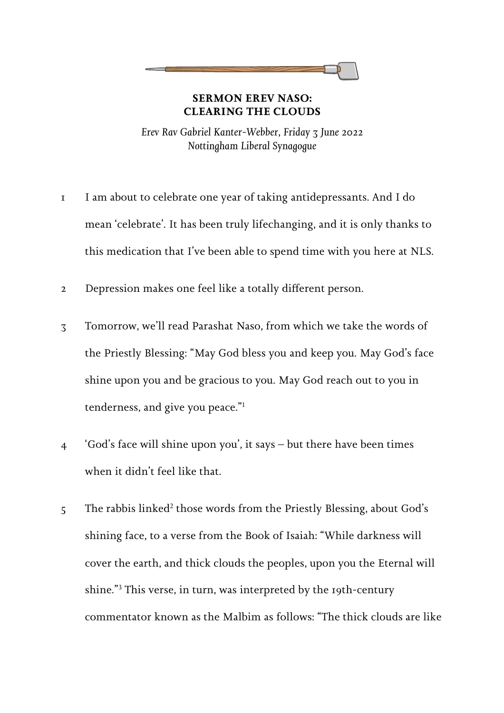## **SERMON EREV NASO: CLEARING THE CLOUDS**

*Erev Rav Gabriel Kanter-Webber, Friday 3 June 2022 Nottingham Liberal Synagogue* 

- $\mathbf{r}$  I am about to celebrate one year of taking antidepressants. And I do mean 'celebrate'. It has been truly lifechanging, and it is only thanks to this medication that I've been able to spend time with you here at NLS.
- 2 Depression makes one feel like a totally different person.
- 3 Tomorrow, we'll read Parashat Naso, from which we take the words of the Priestly Blessing: "May God bless you and keep you. May God's face shine upon you and be gracious to you. May God reach out to you in tenderness, and give you peace."<sup>1</sup>
- / 'God's face will shine upon you', it says but there have been times when it didn't feel like that.
- $5$  The rabbis linked<sup>2</sup> those words from the Priestly Blessing, about God's shining face, to a verse from the Book of Isaiah: "While darkness will cover the earth, and thick clouds the peoples, upon you the Eternal will shine."<sup>3</sup> This verse, in turn, was interpreted by the 19th-century commentator known as the Malbim as follows: "The thick clouds are like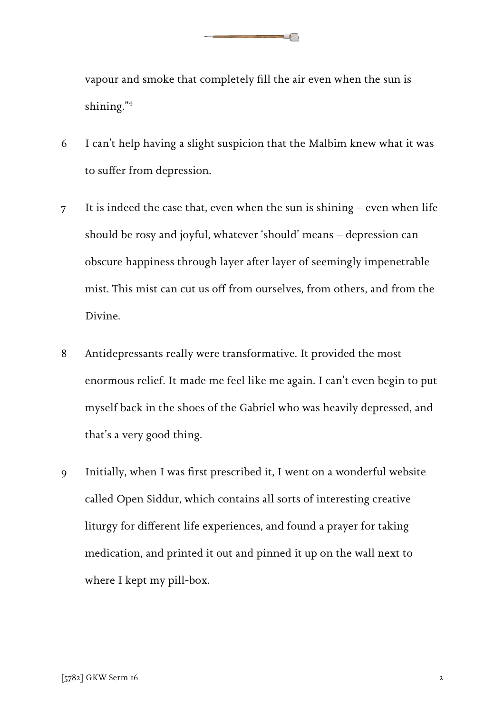vapour and smoke that completely fill the air even when the sun is shining."<sup>4</sup>

 $\Box$ 

- = I can't help having a slight suspicion that the Malbim knew what it was to suffer from depression.
- 9 It is indeed the case that, even when the sun is shining even when life should be rosy and joyful, whatever 'should' means – depression can obscure happiness through layer after layer of seemingly impenetrable mist. This mist can cut us off from ourselves, from others, and from the Divine.
- 8 Antidepressants really were transformative. It provided the most enormous relief. It made me feel like me again. I can't even begin to put myself back in the shoes of the Gabriel who was heavily depressed, and that's a very good thing.
- 6 Initially, when I was first prescribed it, I went on a wonderful website called Open Siddur, which contains all sorts of interesting creative liturgy for different life experiences, and found a prayer for taking medication, and printed it out and pinned it up on the wall next to where I kept my pill-box.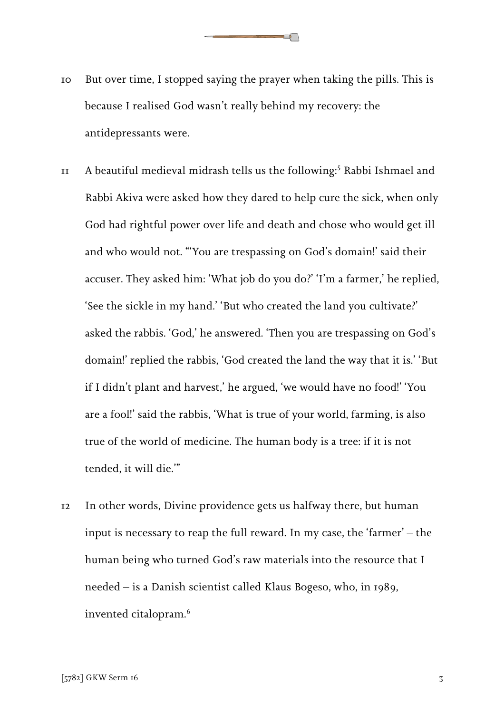$\Box$ 

- $\overline{11}$  A beautiful medieval midrash tells us the following: 5 Rabbi Ishmael and Rabbi Akiva were asked how they dared to help cure the sick, when only God had rightful power over life and death and chose who would get ill and who would not. "'You are trespassing on God's domain!' said their accuser. They asked him: 'What job do you do?' 'I'm a farmer,' he replied, 'See the sickle in my hand.' 'But who created the land you cultivate?' asked the rabbis. 'God,' he answered. 'Then you are trespassing on God's domain!' replied the rabbis, 'God created the land the way that it is.' 'But if I didn't plant and harvest,' he argued, 'we would have no food!' 'You are a fool!' said the rabbis, 'What is true of your world, farming, is also true of the world of medicine. The human body is a tree: if it is not tended, it will die.'"
- $T<sub>2</sub>$ In other words, Divine providence gets us halfway there, but human input is necessary to reap the full reward. In my case, the 'farmer' – the human being who turned God's raw materials into the resource that I needed – is a Danish scientist called Klaus Bogeso, who, in 1989, invented citalopram.<sup>6</sup>

 $\sim$  6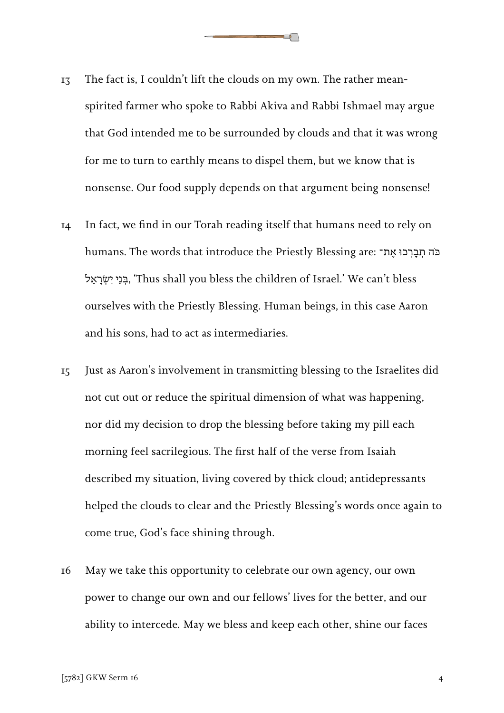**13** The fact is, I couldn't lift the clouds on my own. The rather meanspirited farmer who spoke to Rabbi Akiva and Rabbi Ishmael may argue that God intended me to be surrounded by clouds and that it was wrong for me to turn to earthly means to dispel them, but we know that is nonsense. Our food supply depends on that argument being nonsense!

 $\Box$ 

- I4 In fact, we find in our Torah reading itself that humans need to rely on humans. The words that introduce the Priestly Blessing are: בֹּה תְבַרְבוּ אֶת־ ל ֵא ָר ְׂשִי י ֵנ ְּב,' Thus shall you bless the children of Israel.' We can't bless ourselves with the Priestly Blessing. Human beings, in this case Aaron and his sons, had to act as intermediaries.
- I5 1 Just as Aaron's involvement in transmitting blessing to the Israelites did not cut out or reduce the spiritual dimension of what was happening, nor did my decision to drop the blessing before taking my pill each morning feel sacrilegious. The first half of the verse from Isaiah described my situation, living covered by thick cloud; antidepressants helped the clouds to clear and the Priestly Blessing's words once again to come true, God's face shining through.
- -May we take this opportunity to celebrate our own agency, our own power to change our own and our fellows' lives for the better, and our ability to intercede. May we bless and keep each other, shine our faces

 $\sim$  6